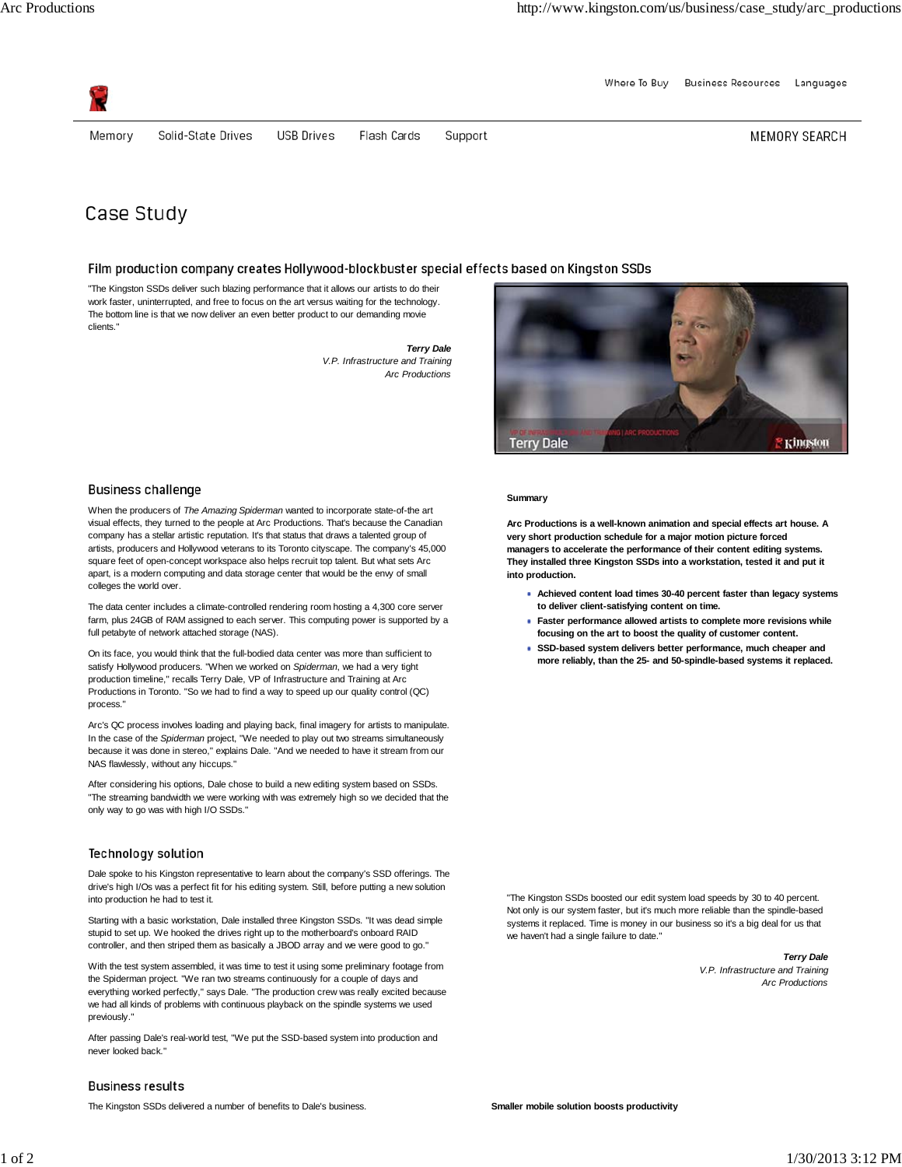Where To Buv Business Resources Languages



Memory

Solid-State Drives

Flash Cards Support MEMORY SEARCH

# Case Study

## Film production company creates Hollywood-blockbuster special effects based on Kingston SSDs

"The Kingston SSDs deliver such blazing performance that it allows our artists to do their work faster, uninterrupted, and free to focus on the art versus waiting for the technology. The bottom line is that we now deliver an even better product to our demanding movie clients."

**USB Drives** 

*Terry Dale V.P. Infrastructure and Training Arc Productions*

## **Business challenge**

When the producers of *The Amazing Spiderman* wanted to incorporate state-of-the art visual effects, they turned to the people at Arc Productions. That's because the Canadian company has a stellar artistic reputation. It's that status that draws a talented group of artists, producers and Hollywood veterans to its Toronto cityscape. The company's 45,000 square feet of open-concept workspace also helps recruit top talent. But what sets Arc apart, is a modern computing and data storage center that would be the envy of small colleges the world over.

The data center includes a climate-controlled rendering room hosting a 4,300 core server farm, plus 24GB of RAM assigned to each server. This computing power is supported by a full petabyte of network attached storage (NAS).

On its face, you would think that the full-bodied data center was more than sufficient to satisfy Hollywood producers. "When we worked on *Spiderman*, we had a very tight production timeline," recalls Terry Dale, VP of Infrastructure and Training at Arc Productions in Toronto. "So we had to find a way to speed up our quality control (QC) process."

Arc's QC process involves loading and playing back, final imagery for artists to manipulate. In the case of the *Spiderman* project, "We needed to play out two streams simultaneously because it was done in stereo," explains Dale. "And we needed to have it stream from our NAS flawlessly, without any hiccups."

After considering his options, Dale chose to build a new editing system based on SSDs. "The streaming bandwidth we were working with was extremely high so we decided that the only way to go was with high I/O SSDs."

### Technology solution

Dale spoke to his Kingston representative to learn about the company's SSD offerings. The drive's high I/Os was a perfect fit for his editing system. Still, before putting a new solution into production he had to test it.

Starting with a basic workstation, Dale installed three Kingston SSDs. "It was dead simple stupid to set up. We hooked the drives right up to the motherboard's onboard RAID controller, and then striped them as basically a JBOD array and we were good to go."

With the test system assembled, it was time to test it using some preliminary footage from the Spiderman project. "We ran two streams continuously for a couple of days and everything worked perfectly," says Dale. "The production crew was really excited because we had all kinds of problems with continuous playback on the spindle systems we used previously.

After passing Dale's real-world test, "We put the SSD-based system into production and never looked back."



#### **Summary**

**Arc Productions is a well-known animation and special effects art house. A very short production schedule for a major motion picture forced managers to accelerate the performance of their content editing systems. They installed three Kingston SSDs into a workstation, tested it and put it into production.**

- **Achieved content load times 30-40 percent faster than legacy systems to deliver client-satisfying content on time.**
- **Faster performance allowed artists to complete more revisions while focusing on the art to boost the quality of customer content.**
- **SSD-based system delivers better performance, much cheaper and more reliably, than the 25- and 50-spindle-based systems it replaced.**

"The Kingston SSDs boosted our edit system load speeds by 30 to 40 percent. Not only is our system faster, but it's much more reliable than the spindle-based systems it replaced. Time is money in our business so it's a big deal for us that we haven't had a single failure to date."

> *Terry Dale V.P. Infrastructure and Training Arc Productions*

# **Business results**

The Kingston SSDs delivered a number of benefits to Dale's business. **Smaller mobile solution boosts productivity**